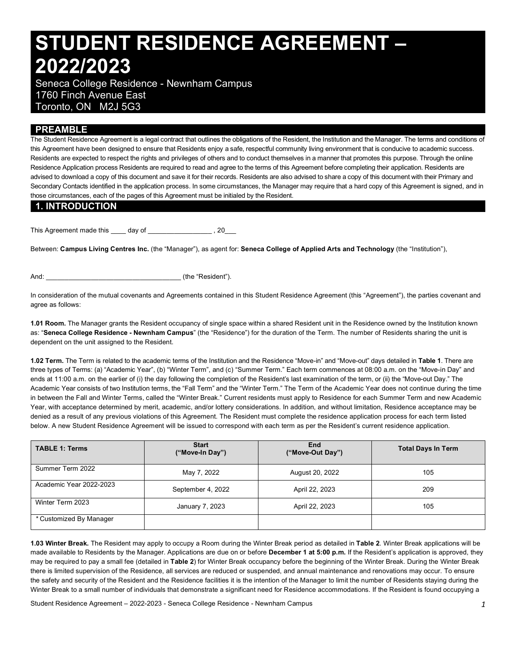# **STUDENT RESIDENCE AGREEMENT – 2022/2023**

 Seneca College Residence - Newnham Campus 1760 Finch Avenue East Toronto, ON M2J 5G3

## **PREAMBLE**

 The Student Residence Agreement is a legal contract that outlines the obligations of the Resident, the Institution and the Manager. The terms and conditions of this Agreement have been designed to ensure that Residents enjoy a safe, respectful community living environment that is conducive to academic success. Residents are expected to respect the rights and privileges of others and to conduct themselves in a manner that promotes this purpose. Through the online Residence Application process Residents are required to read and agree to the terms of this Agreement before completing their application. Residents are advised to download a copy of this document and save it for their records. Residents are also advised to share a copy of this document with their Primary and Secondary Contacts identified in the application process. In some circumstances, the Manager may require that a hard copy of this Agreement is signed, and in those circumstances, each of the pages of this Agreement must be initialed by the Resident.

#### **1. INTRODUCTION**

This Agreement made this \_\_\_\_ day of \_\_\_\_\_\_\_\_\_\_\_\_\_\_\_\_\_ , 20\_\_\_

 Between: **Campus Living Centres Inc.** (the "Manager"), as agent for: **Seneca College of Applied Arts and Technology** (the "Institution"),

And: (the "Resident").

 In consideration of the mutual covenants and Agreements contained in this Student Residence Agreement (this "Agreement"), the parties covenant and agree as follows:

 **1.01 Room.** The Manager grants the Resident occupancy of single space within a shared Resident unit in the Residence owned by the Institution known  as: "**Seneca College Residence - Newnham Campus**" (the "Residence") for the duration of the Term. The number of Residents sharing the unit is dependent on the unit assigned to the Resident.

 **1.02 Term.** The Term is related to the academic terms of the Institution and the Residence "Move-in" and "Move-out" days detailed in **Table 1**. There are three types of Terms: (a) "Academic Year", (b) "Winter Term", and (c) "Summer Term." Each term commences at 08:00 a.m. on the "Move-in Day" and ends at 11:00 a.m. on the earlier of (i) the day following the completion of the Resident's last examination of the term, or (ii) the "Move-out Day." The Academic Year consists of two Institution terms, the "Fall Term" and the "Winter Term." The Term of the Academic Year does not continue during the time in between the Fall and Winter Terms, called the "Winter Break." Current residents must apply to Residence for each Summer Term and new Academic Year, with acceptance determined by merit, academic, and/or lottery considerations. In addition, and without limitation, Residence acceptance may be denied as a result of any previous violations of this Agreement. The Resident must complete the residence application process for each term listed below. A new Student Residence Agreement will be issued to correspond with each term as per the Resident's current residence application.

| <b>TABLE 1: Terms</b>   | <b>Start</b><br>("Move-In Day") | End<br>("Move-Out Day") | Total Days In Term |  |
|-------------------------|---------------------------------|-------------------------|--------------------|--|
| Summer Term 2022        | May 7, 2022                     | August 20, 2022         | 105                |  |
| Academic Year 2022-2023 | September 4, 2022               | April 22, 2023          | 209                |  |
| Winter Term 2023        | January 7, 2023                 | April 22, 2023          | 105                |  |
| * Customized By Manager |                                 |                         |                    |  |

 **1.03 Winter Break.** The Resident may apply to occupy a Room during the Winter Break period as detailed in **Table 2**. Winter Break applications will be made available to Residents by the Manager. Applications are due on or before **December 1 at 5:00 p.m.** If the Resident's application is approved, they may be required to pay a small fee (detailed in **Table 2**) for Winter Break occupancy before the beginning of the Winter Break. During the Winter Break there is limited supervision of the Residence, all services are reduced or suspended, and annual maintenance and renovations may occur. To ensure the safety and security of the Resident and the Residence facilities it is the intention of the Manager to limit the number of Residents staying during the Winter Break to a small number of individuals that demonstrate a significant need for Residence accommodations. If the Resident is found occupying a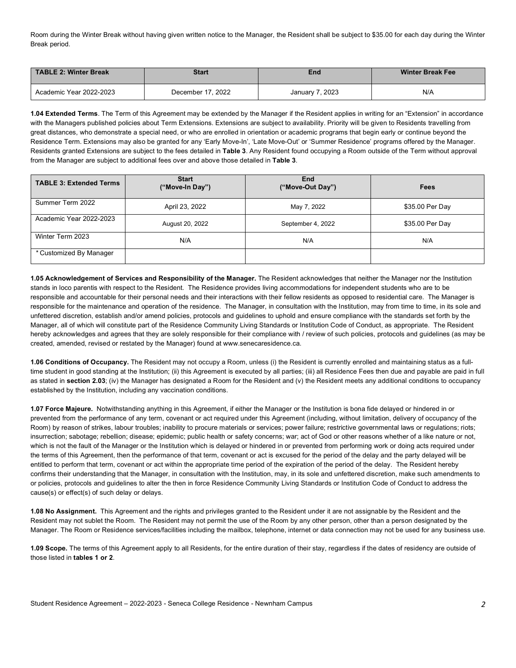Room during the Winter Break without having given written notice to the Manager, the Resident shall be subject to \$35.00 for each day during the Winter Break period.

| TABLE 2: Winter Break   | <b>Start</b>      | End             | <b>Winter Break Fee</b> |  |
|-------------------------|-------------------|-----------------|-------------------------|--|
| Academic Year 2022-2023 | December 17, 2022 | January 7, 2023 | N/A                     |  |

 **1.04 Extended Terms**. The Term of this Agreement may be extended by the Manager if the Resident applies in writing for an "Extension" in accordance with the Managers published policies about Term Extensions. Extensions are subject to availability. Priority will be given to Residents travelling from great distances, who demonstrate a special need, or who are enrolled in orientation or academic programs that begin early or continue beyond the Residence Term. Extensions may also be granted for any 'Early Move-In', 'Late Move-Out' or 'Summer Residence' programs offered by the Manager. Residents granted Extensions are subject to the fees detailed in **Table 3**. Any Resident found occupying a Room outside of the Term without approval from the Manager are subject to additional fees over and above those detailed in **Table 3**.

| <b>TABLE 3: Extended Terms</b> | <b>Start</b><br>("Move-In Day") | End<br>("Move-Out Day") | Fees            |
|--------------------------------|---------------------------------|-------------------------|-----------------|
| Summer Term 2022               | April 23, 2022                  | May 7, 2022             | \$35.00 Per Day |
| Academic Year 2022-2023        | August 20, 2022                 | September 4, 2022       | \$35.00 Per Day |
| Winter Term 2023               | N/A                             | N/A                     | N/A             |
| * Customized By Manager        |                                 |                         |                 |

 **1.05 Acknowledgement of Services and Responsibility of the Manager.** The Resident acknowledges that neither the Manager nor the Institution stands in loco parentis with respect to the Resident. The Residence provides living accommodations for independent students who are to be responsible and accountable for their personal needs and their interactions with their fellow residents as opposed to residential care. The Manager is responsible for the maintenance and operation of the residence. The Manager, in consultation with the Institution, may from time to time, in its sole and unfettered discretion, establish and/or amend policies, protocols and guidelines to uphold and ensure compliance with the standards set forth by the Manager, all of which will constitute part of the Residence Community Living Standards or Institution Code of Conduct, as appropriate. The Resident hereby acknowledges and agrees that they are solely responsible for their compliance with / review of such policies, protocols and guidelines (as may be created, amended, revised or restated by the Manager) found at [www.senecaresidence.ca.](www.senecaresidence.ca)

 time student in good standing at the Institution; (ii) this Agreement is executed by all parties; (iii) all Residence Fees then due and payable are paid in full as stated in **section 2.03**; (iv) the Manager has designated a Room for the Resident and (v) the Resident meets any additional conditions to occupancy established by the Institution, including any vaccination conditions. **1.06 Conditions of Occupancy.** The Resident may not occupy a Room, unless (i) the Resident is currently enrolled and maintaining status as a full-

 **1.07 Force Majeure.** Notwithstanding anything in this Agreement, if either the Manager or the Institution is bona fide delayed or hindered in or prevented from the performance of any term, covenant or act required under this Agreement (including, without limitation, delivery of occupancy of the Room) by reason of strikes, labour troubles; inability to procure materials or services; power failure; restrictive governmental laws or regulations; riots; insurrection; sabotage; rebellion; disease; epidemic; public health or safety concerns; war; act of God or other reasons whether of a like nature or not, which is not the fault of the Manager or the Institution which is delayed or hindered in or prevented from performing work or doing acts required under the terms of this Agreement, then the performance of that term, covenant or act is excused for the period of the delay and the party delayed will be entitled to perform that term, covenant or act within the appropriate time period of the expiration of the period of the delay. The Resident hereby confirms their understanding that the Manager, in consultation with the Institution, may, in its sole and unfettered discretion, make such amendments to or policies, protocols and guidelines to alter the then in force Residence Community Living Standards or Institution Code of Conduct to address the cause(s) or effect(s) of such delay or delays.

 **1.08 No Assignment.** This Agreement and the rights and privileges granted to the Resident under it are not assignable by the Resident and the Resident may not sublet the Room. The Resident may not permit the use of the Room by any other person, other than a person designated by the Manager. The Room or Residence services/facilities including the mailbox, telephone, internet or data connection may not be used for any business use.

 **1.09 Scope.** The terms of this Agreement apply to all Residents, for the entire duration of their stay, regardless if the dates of residency are outside of  those listed in **tables 1 or 2**.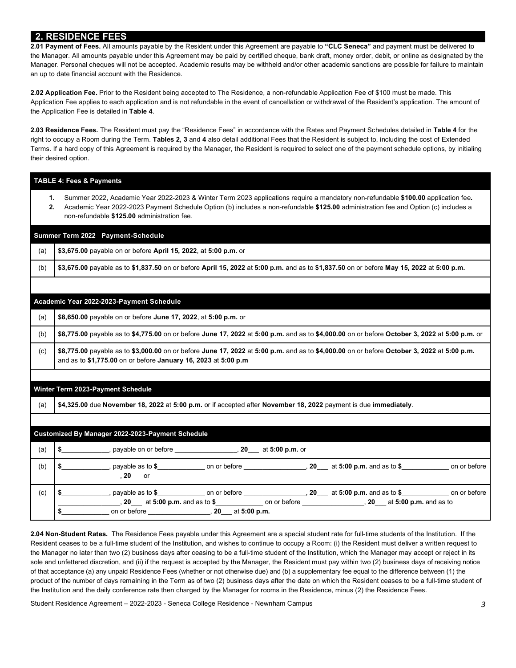## **2. RESIDENCE FEES**

 the Manager. All amounts payable under this Agreement may be paid by certified cheque, bank draft, money order, debit, or online as designated by the Manager. Personal cheques will not be accepted. Academic results may be withheld and/or other academic sanctions are possible for failure to maintain an up to date financial account with the Residence. **2.01 Payment of Fees.** All amounts payable by the Resident under this Agreement are payable to **"CLC Seneca"** and payment must be delivered to

 **2.02 Application Fee.** Prior to the Resident being accepted to The Residence, a non-refundable Application Fee of \$100 must be made. This Application Fee applies to each application and is not refundable in the event of cancellation or withdrawal of the Resident's application. The amount of the Application Fee is detailed in **Table 4**.

 **2.03 Residence Fees.** The Resident must pay the "Residence Fees" in accordance with the Rates and Payment Schedules detailed in **Table 4** for the right to occupy a Room during the Term. **Tables 2, 3** and **4** also detail additional Fees that the Resident is subject to, including the cost of Extended Terms. If a hard copy of this Agreement is required by the Manager, the Resident is required to select one of the payment schedule options, by initialing their desired option.

|     | <b>TABLE 4: Fees &amp; Payments</b>                                                                                                                                                                                                                                                                                                 |  |  |  |  |
|-----|-------------------------------------------------------------------------------------------------------------------------------------------------------------------------------------------------------------------------------------------------------------------------------------------------------------------------------------|--|--|--|--|
|     | Summer 2022, Academic Year 2022-2023 & Winter Term 2023 applications require a mandatory non-refundable \$100.00 application fee.<br>1.<br>Academic Year 2022-2023 Payment Schedule Option (b) includes a non-refundable \$125.00 administration fee and Option (c) includes a<br>2.<br>non-refundable \$125.00 administration fee. |  |  |  |  |
|     | Summer Term 2022 Payment-Schedule                                                                                                                                                                                                                                                                                                   |  |  |  |  |
| (a) | \$3,675.00 payable on or before April 15, 2022, at 5:00 p.m. or                                                                                                                                                                                                                                                                     |  |  |  |  |
| (b) | \$3,675.00 payable as to \$1,837.50 on or before April 15, 2022 at 5:00 p.m. and as to \$1,837.50 on or before May 15, 2022 at 5:00 p.m.                                                                                                                                                                                            |  |  |  |  |
|     |                                                                                                                                                                                                                                                                                                                                     |  |  |  |  |
|     | Academic Year 2022-2023-Payment Schedule                                                                                                                                                                                                                                                                                            |  |  |  |  |
| (a) | \$8,650.00 payable on or before June 17, 2022, at 5:00 p.m. or                                                                                                                                                                                                                                                                      |  |  |  |  |
| (b) | \$8,775.00 payable as to \$4,775.00 on or before June 17, 2022 at 5:00 p.m. and as to \$4,000.00 on or before October 3, 2022 at 5:00 p.m. or                                                                                                                                                                                       |  |  |  |  |
| (c) | \$8,775.00 payable as to \$3,000.00 on or before June 17, 2022 at 5:00 p.m. and as to \$4,000.00 on or before October 3, 2022 at 5:00 p.m.<br>and as to \$1,775.00 on or before January 16, 2023 at 5:00 p.m                                                                                                                        |  |  |  |  |
|     | Winter Term 2023-Payment Schedule                                                                                                                                                                                                                                                                                                   |  |  |  |  |
| (a) | \$4,325.00 due November 18, 2022 at 5:00 p.m. or if accepted after November 18, 2022 payment is due immediately.                                                                                                                                                                                                                    |  |  |  |  |
|     | Customized By Manager 2022-2023-Payment Schedule                                                                                                                                                                                                                                                                                    |  |  |  |  |
| (a) | \$ ______________, payable on or before ___________________, 20 ___ at 5:00 p.m. or                                                                                                                                                                                                                                                 |  |  |  |  |
| (b) | \$ ______________, payable as to \$________________ on or before _________________, 20___ at 5:00 p.m. and as to \$______________ on or before                                                                                                                                                                                      |  |  |  |  |
| (c) | \$ _______________, payable as to \$_________________ on or before ____________________, 20____ at 5:00 p.m. and as to \$______________ on or before                                                                                                                                                                                |  |  |  |  |

 **2.04 Non-Student Rates.** The Residence Fees payable under this Agreement are a special student rate for full-time students of the Institution. If the Resident ceases to be a full-time student of the Institution, and wishes to continue to occupy a Room: (i) the Resident must deliver a written request to the Manager no later than two (2) business days after ceasing to be a full-time student of the Institution, which the Manager may accept or reject in its sole and unfettered discretion, and (ii) if the request is accepted by the Manager, the Resident must pay within two (2) business days of receiving notice of that acceptance (a) any unpaid Residence Fees (whether or not otherwise due) and (b) a supplementary fee equal to the difference between (1) the product of the number of days remaining in the Term as of two (2) business days after the date on which the Resident ceases to be a full-time student of the Institution and the daily conference rate then charged by the Manager for rooms in the Residence, minus (2) the Residence Fees.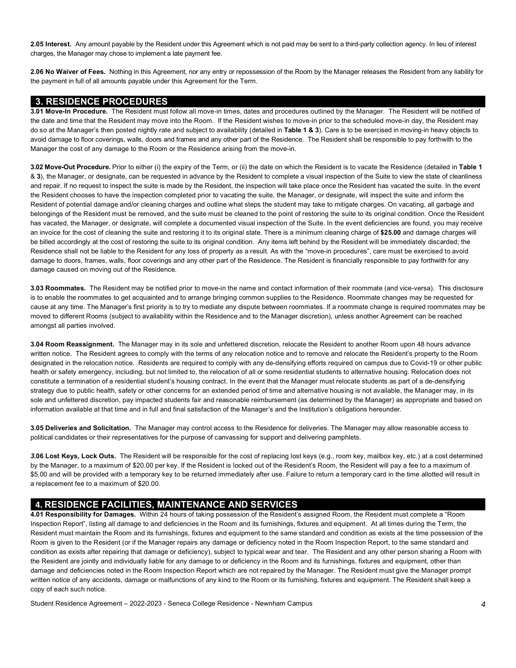**2.05 Interest.** Any amount payable by the Resident under this Agreement which is not paid may be sent to a third-party collection agency. In lieu of interest charges, the Manager may chose to implement a late payment fee.

 **2.06 No Waiver of Fees.** Nothing in this Agreement, nor any entry or repossession of the Room by the Manager releases the Resident from any liability for the payment in full of all amounts payable under this Agreement for the Term.

#### **3. RESIDENCE PROCEDURES**

 **3.01 Move-In Procedure.** The Resident must follow all move-in times, dates and procedures outlined by the Manager. The Resident will be notified of the date and time that the Resident may move into the Room. If the Resident wishes to move-in prior to the scheduled move-in day, the Resident may do so at the Manager's then posted nightly rate and subject to availability (detailed in **Table 1 & 3**). Care is to be exercised in moving-in heavy objects to avoid damage to floor coverings, walls, doors and frames and any other part of the Residence. The Resident shall be responsible to pay forthwith to the Manager the cost of any damage to the Room or the Residence arising from the move-in.

 **3.02 Move-Out Procedure.** Prior to either (i) the expiry of the Term, or (ii) the date on which the Resident is to vacate the Residence (detailed in **Table 1**  & **3**), the Manager, or designate, can be requested in advance by the Resident to complete a visual inspection of the Suite to view the state of cleanliness and repair. If no request to inspect the suite is made by the Resident, the inspection will take place once the Resident has vacated the suite. In the event the Resident chooses to have the inspection completed prior to vacating the suite, the Manager, or designate, will inspect the suite and inform the Resident of potential damage and/or cleaning charges and outline what steps the student may take to mitigate charges. On vacating, all garbage and belongings of the Resident must be removed, and the suite must be cleaned to the point of restoring the suite to its original condition. Once the Resident has vacated, the Manager, or designate, will complete a documented visual inspection of the Suite. In the event deficiencies are found, you may receive an invoice for the cost of cleaning the suite and restoring it to its original state. There is a minimum cleaning charge of **\$25.00** and damage charges will be billed accordingly at the cost of restoring the suite to its original condition. Any items left behind by the Resident will be immediately discarded; the Residence shall not be liable to the Resident for any loss of property as a result. As with the "move-in procedures", care must be exercised to avoid damage to doors, frames, walls, floor coverings and any other part of the Residence. The Resident is financially responsible to pay forthwith for any damage caused on moving out of the Residence.

 **3.03 Roommates.** The Resident may be notified prior to move-in the name and contact information of their roommate (and vice-versa). This disclosure is to enable the roommates to get acquainted and to arrange bringing common supplies to the Residence. Roommate changes may be requested for cause at any time. The Manager's first priority is to try to mediate any dispute between roommates. If a roommate change is required roommates may be moved to different Rooms (subject to availability within the Residence and to the Manager discretion), unless another Agreement can be reached amongst all parties involved.

 **3.04 Room Reassignment.** The Manager may in its sole and unfettered discretion, relocate the Resident to another Room upon 48 hours advance written notice. The Resident agrees to comply with the terms of any relocation notice and to remove and relocate the Resident's property to the Room designated in the relocation notice. Residents are required to comply with any de-densifying efforts required on campus due to Covid-19 or other public health or safety emergency, including, but not limited to, the relocation of all or some residential students to alternative housing. Relocation does not constitute a termination of a residential student's housing contract. In the event that the Manager must relocate students as part of a de-densifying strategy due to public health, safety or other concerns for an extended period of time and alternative housing is not available, the Manager may, in its sole and unfettered discretion, pay impacted students fair and reasonable reimbursement (as determined by the Manager) as appropriate and based on information available at that time and in full and final satisfaction of the Manager's and the Institution's obligations hereunder.

 **3.05 Deliveries and Solicitation.** The Manager may control access to the Residence for deliveries. The Manager may allow reasonable access to political candidates or their representatives for the purpose of canvassing for support and delivering pamphlets.

 *3.***06 Lost Keys, Lock Outs.** The Resident will be responsible for the cost of replacing lost keys (e.g., room key, mailbox key, etc.) at a cost determined by the Manager, to a maximum of \$20.00 per key. If the Resident is locked out of the Resident's Room, the Resident will pay a fee to a maximum of \$5.00 and will be provided with a temporary key to be returned immediately after use. Failure to return a temporary card in the time allotted will result in a replacement fee to a maximum of \$20.00.

## **4. RESIDENCE FACILITIES, MAINTENANCE AND SERVICES**

 **4.01 Responsibility for Damages.** Within 24 hours of taking possession of the Resident's assigned Room, the Resident must complete a "Room Inspection Report", listing all damage to and deficiencies in the Room and its furnishings, fixtures and equipment. At all times during the Term, the Resident must maintain the Room and its furnishings, fixtures and equipment to the same standard and condition as exists at the time possession of the Room is given to the Resident (or if the Manager repairs any damage or deficiency noted in the Room Inspection Report, to the same standard and condition as exists after repairing that damage or deficiency), subject to typical wear and tear. The Resident and any other person sharing a Room with the Resident are jointly and individually liable for any damage to or deficiency in the Room and its furnishings, fixtures and equipment, other than damage and deficiencies noted in the Room Inspection Report which are not repaired by the Manager. The Resident must give the Manager prompt written notice of any accidents, damage or malfunctions of any kind to the Room or its furnishing, fixtures and equipment. The Resident shall keep a copy of each such notice.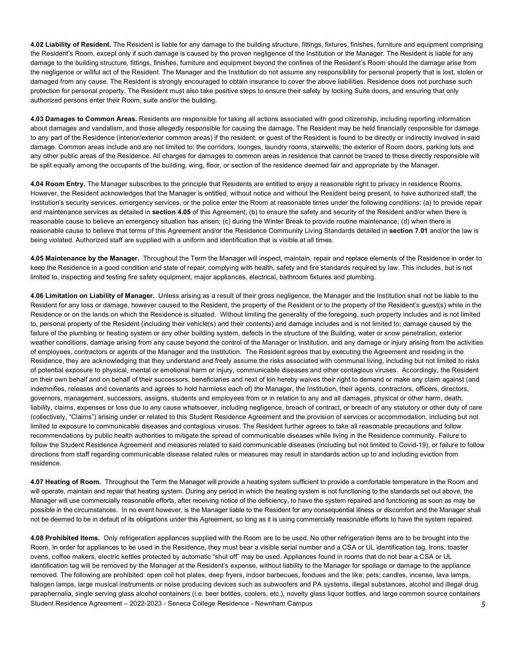**4.02 Liability of Resident.** The Resident is liable for any damage to the building structure, fittings, fixtures, finishes, furniture and equipment comprising the Resident's Room, except only if such damage is caused by the proven negligence of the Institution or the Manager. The Resident is liable for any damage to the building structure, fittings, finishes, furniture and equipment beyond the confines of the Resident's Room should the damage arise from the negligence or willful act of the Resident. The Manager and the Institution do not assume any responsibility for personal property that is lost, stolen or damaged from any cause. The Resident is strongly encouraged to obtain insurance to cover the above liabilities. Residence does not purchase such protection for personal property. The Resident must also take positive steps to ensure their safety by locking Suite doors, and ensuring that only authorized persons enter their Room, suite and/or the building.

 **4.03 Damages to Common Areas.** Residents are responsible for taking all actions associated with good citizenship, including reporting information about damages and vandalism, and those allegedly responsible for causing the damage. The Resident may be held financially responsible for damage to any part of the Residence (interior/exterior common areas) if the resident, or guest of the Resident is found to be directly or indirectly involved in said damage. Common areas include and are not limited to; the corridors, lounges, laundry rooms, stairwells, the exterior of Room doors, parking lots and any other public areas of the Residence. All charges for damages to common areas in residence that cannot be traced to those directly responsible will be split equally among the occupants of the building, wing, floor, or section of the residence deemed fair and appropriate by the Manager.

 **4.04 Room Entry.** The Manager subscribes to the principle that Residents are entitled to enjoy a reasonable right to privacy in residence Rooms. However, the Resident acknowledges that the Manager is entitled, without notice and without the Resident being present, to have authorized staff, the Institution's security services, emergency services, or the police enter the Room at reasonable times under the following conditions: (a) to provide repair and maintenance services as detailed in **section 4.05** of this Agreement; (b) to ensure the safety and security of the Resident and/or when there is reasonable cause to believe an emergency situation has arisen; (c) during the Winter Break to provide routine maintenance; (d) when there is reasonable cause to believe that terms of this Agreement and/or the Residence Community Living Standards detailed in **section 7.01** and/or the law is being violated. Authorized staff are supplied with a uniform and identification that is visible at all times.

 **4.05 Maintenance by the Manager.** Throughout the Term the Manager will inspect, maintain, repair and replace elements of the Residence in order to keep the Residence in a good condition and state of repair, complying with health, safety and fire standards required by law. This includes, but is not limited to, inspecting and testing fire safety equipment, major appliances, electrical, bathroom fixtures and plumbing.

 **4.06 Limitation on Liability of Manager.** Unless arising as a result of their gross negligence, the Manager and the Institution shall not be liable to the Resident for any loss or damage, however caused to the Resident, the property of the Resident or to the property of the Resident's guest(s) while in the Residence or on the lands on which the Residence is situated. Without limiting the generality of the foregoing, such property includes and is not limited to, personal property of the Resident (including their vehicle(s) and their contents) and damage includes and is not limited to; damage caused by the failure of the plumbing or heating system or any other building system, defects in the structure of the Building, water or snow penetration, exterior weather conditions, damage arising from any cause beyond the control of the Manager or Institution, and any damage or injury arising from the activities of employees, contractors or agents of the Manager and the Institution. The Resident agrees that by executing the Agreement and residing in the Residence, they are acknowledging that they understand and freely assume the risks associated with communal living, including but not limited to risks of potential exposure to physical, mental or emotional harm or injury, communicable diseases and other contagious viruses. Accordingly, the Resident on their own behalf and on behalf of their successors, beneficiaries and next of kin hereby waives their right to demand or make any claim against (and indemnifies, releases and covenants and agrees to hold harmless each of) the Manager, the Institution, their agents, contractors, officers, directors, governors, management, successors, assigns, students and employees from or in relation to any and all damages, physical or other harm, death, liability, claims, expenses or loss due to any cause whatsoever, including negligence, breach of contract, or breach of any statutory or other duty of care (collectively, "Claims") arising under or related to this Student Residence Agreement and the provision of services or accommodation, including but not limited to exposure to communicable diseases and contagious viruses. The Resident further agrees to take all reasonable precautions and follow recommendations by public health authorities to mitigate the spread of communicable diseases while living in the Residence community. Failure to follow the Student Residence Agreement and measures related to said communicable diseases (including but not limited to Covid-19), or failure to follow directions from staff regarding communicable disease related rules or measures may result in standards action up to and including eviction from residence.

 **4.07 Heating of Room.** Throughout the Term the Manager will provide a heating system sufficient to provide a comfortable temperature in the Room and will operate, maintain and repair that heating system. During any period in which the heating system is not functioning to the standards set out above, the Manager will use commercially reasonable efforts, after receiving notice of the deficiency, to have the system repaired and functioning as soon as may be possible in the circumstances. In no event however, is the Manager liable to the Resident for any consequential illness or discomfort and the Manager shall not be deemed to be in default of its obligations under this Agreement, so long as it is using commercially reasonable efforts to have the system repaired.

 Student Residence Agreement – 2022-2023 - Seneca College Residence - Newnham Campus *5*  **4.08 Prohibited Items.** Only refrigeration appliances supplied with the Room are to be used. No other refrigeration items are to be brought into the Room. In order for appliances to be used in the Residence, they must bear a visible serial number and a CSA or UL identification tag. Irons, toaster ovens, coffee makers, electric kettles protected by automatic "shut off" may be used. Appliances found in rooms that do not bear a CSA or UL identification tag will be removed by the Manager at the Resident's expense, without liability to the Manager for spoilage or damage to the appliance removed. The following are prohibited: open coil hot plates, deep fryers, indoor barbecues, fondues and the like; pets; candles, incense, lava lamps, halogen lamps, large musical instruments or noise producing devices such as subwoofers and PA systems, illegal substances, alcohol and illegal drug paraphernalia, single serving glass alcohol containers (i.e. beer bottles, coolers, etc.), novelty glass liquor bottles, and large common source containers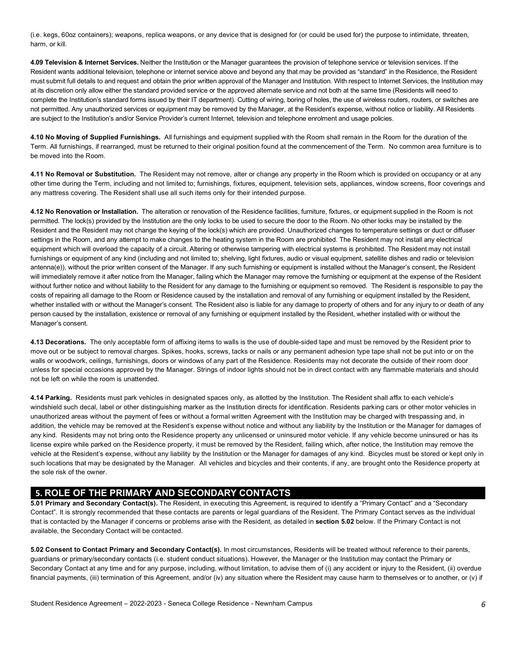(i.e. kegs, 60oz containers); weapons, replica weapons, or any device that is designed for (or could be used for) the purpose to intimidate, threaten, harm, or kill.

 **4.09 Television & Internet Services.** Neither the Institution or the Manager guarantees the provision of telephone service or television services. If the Resident wants additional television, telephone or internet service above and beyond any that may be provided as "standard" in the Residence, the Resident must submit full details to and request and obtain the prior written approval of the Manager and Institution. With respect to Internet Services, the Institution may at its discretion only allow either the standard provided service or the approved alternate service and not both at the same time (Residents will need to complete the Institution's standard forms issued by their IT department). Cutting of wiring, boring of holes, the use of wireless routers, routers, or switches are not permitted. Any unauthorized services or equipment may be removed by the Manager, at the Resident's expense, without notice or liability. All Residents are subject to the Institution's and/or Service Provider's current Internet, television and telephone enrolment and usage policies.

 **4.10 No Moving of Supplied Furnishings.** All furnishings and equipment supplied with the Room shall remain in the Room for the duration of the Term. All furnishings, if rearranged, must be returned to their original position found at the commencement of the Term. No common area furniture is to be moved into the Room.

 **4.11 No Removal or Substitution.** The Resident may not remove, alter or change any property in the Room which is provided on occupancy or at any other time during the Term, including and not limited to; furnishings, fixtures, equipment, television sets, appliances, window screens, floor coverings and any mattress covering. The Resident shall use all such items only for their intended purpose.

 permitted. The lock(s) provided by the Institution are the only locks to be used to secure the door to the Room. No other locks may be installed by the Resident and the Resident may not change the keying of the lock(s) which are provided. Unauthorized changes to temperature settings or duct or diffuser settings in the Room, and any attempt to make changes to the heating system in the Room are prohibited. The Resident may not install any electrical equipment which will overload the capacity of a circuit. Altering or otherwise tampering with electrical systems is prohibited. The Resident may not install furnishings or equipment of any kind (including and not limited to; shelving, light fixtures, audio or visual equipment, satellite dishes and radio or television antenna(e)), without the prior written consent of the Manager. If any such furnishing or equipment is installed without the Manager's consent, the Resident will immediately remove it after notice from the Manager, failing which the Manager may remove the furnishing or equipment at the expense of the Resident without further notice and without liability to the Resident for any damage to the furnishing or equipment so removed. The Resident is responsible to pay the costs of repairing all damage to the Room or Residence caused by the installation and removal of any furnishing or equipment installed by the Resident, whether installed with or without the Manager's consent. The Resident also is liable for any damage to property of others and for any injury to or death of any person caused by the installation, existence or removal of any furnishing or equipment installed by the Resident, whether installed with or without the **4.12 No Renovation or Installation.** The alteration or renovation of the Residence facilities, furniture, fixtures, or equipment supplied in the Room is not Manager's consent.

 **4.13 Decorations.** The only acceptable form of affixing items to walls is the use of double-sided tape and must be removed by the Resident prior to move out or be subject to removal charges. Spikes, hooks, screws, tacks or nails or any permanent adhesion type tape shall not be put into or on the walls or woodwork, ceilings, furnishings, doors or windows of any part of the Residence. Residents may not decorate the outside of their room door unless for special occasions approved by the Manager. Strings of indoor lights should not be in direct contact with any flammable materials and should not be left on while the room is unattended.

 **4.14 Parking.** Residents must park vehicles in designated spaces only, as allotted by the Institution. The Resident shall affix to each vehicle's windshield such decal, label or other distinguishing marker as the Institution directs for identification. Residents parking cars or other motor vehicles in unauthorized areas without the payment of fees or without a formal written Agreement with the Institution may be charged with trespassing and, in addition, the vehicle may be removed at the Resident's expense without notice and without any liability by the Institution or the Manager for damages of any kind. Residents may not bring onto the Residence property any unlicensed or uninsured motor vehicle. If any vehicle become uninsured or has its license expire while parked on the Residence property, it must be removed by the Resident, failing which, after notice, the Institution may remove the vehicle at the Resident's expense, without any liability by the Institution or the Manager for damages of any kind. Bicycles must be stored or kept only in such locations that may be designated by the Manager. All vehicles and bicycles and their contents, if any, are brought onto the Residence property at the sole risk of the owner.

#### **5. ROLE OF THE PRIMARY AND SECONDARY CONTACTS**

 **5.01 Primary and Secondary Contact(s).** The Resident, in executing this Agreement, is required to identify a "Primary Contact" and a "Secondary Contact". It is strongly recommended that these contacts are parents or legal guardians of the Resident. The Primary Contact serves as the individual that is contacted by the Manager if concerns or problems arise with the Resident, as detailed in **section 5.02** below. If the Primary Contact is not available, the Secondary Contact will be contacted.

 **5.02 Consent to Contact Primary and Secondary Contact(s).** In most circumstances, Residents will be treated without reference to their parents, guardians or primary/secondary contacts (i.e. student conduct situations). However, the Manager or the Institution may contact the Primary or Secondary Contact at any time and for any purpose, including, without limitation, to advise them of (i) any accident or injury to the Resident, (ii) overdue financial payments, (iii) termination of this Agreement, and/or (iv) any situation where the Resident may cause harm to themselves or to another, or (v) if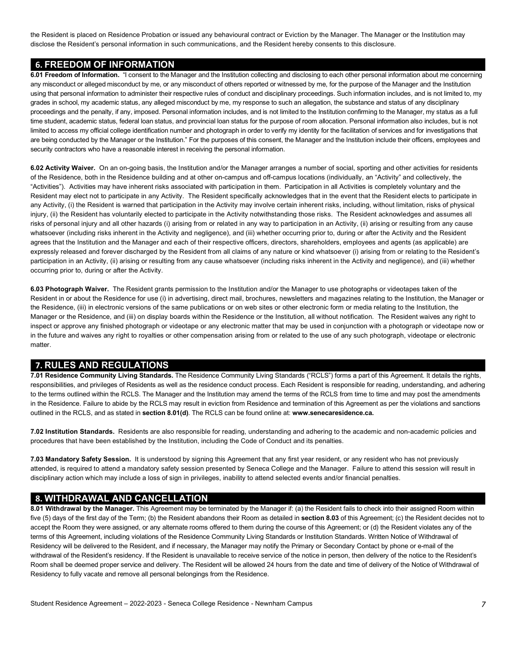the Resident is placed on Residence Probation or issued any behavioural contract or Eviction by the Manager. The Manager or the Institution may disclose the Resident's personal information in such communications, and the Resident hereby consents to this disclosure.

#### **6. FREEDOM OF INFORMATION**

 **6.01 Freedom of Information.** "I consent to the Manager and the Institution collecting and disclosing to each other personal information about me concerning any misconduct or alleged misconduct by me, or any misconduct of others reported or witnessed by me, for the purpose of the Manager and the Institution using that personal information to administer their respective rules of conduct and disciplinary proceedings. Such information includes, and is not limited to, my grades in school, my academic status, any alleged misconduct by me, my response to such an allegation, the substance and status of any disciplinary proceedings and the penalty, if any, imposed. Personal information includes, and is not limited to the Institution confirming to the Manager, my status as a full time student, academic status, federal loan status, and provincial loan status for the purpose of room allocation. Personal information also includes, but is not limited to access my official college identification number and photograph in order to verify my identity for the facilitation of services and for investigations that are being conducted by the Manager or the Institution." For the purposes of this consent, the Manager and the Institution include their officers, employees and security contractors who have a reasonable interest in receiving the personal information.

 **6.02 Activity Waiver.** On an on-going basis, the Institution and/or the Manager arranges a number of social, sporting and other activities for residents of the Residence, both in the Residence building and at other on-campus and off-campus locations (individually, an "Activity" and collectively, the "Activities"). Activities may have inherent risks associated with participation in them. Participation in all Activities is completely voluntary and the Resident may elect not to participate in any Activity. The Resident specifically acknowledges that in the event that the Resident elects to participate in any Activity, (i) the Resident is warned that participation in the Activity may involve certain inherent risks, including, without limitation, risks of physical injury, (ii) the Resident has voluntarily elected to participate in the Activity notwithstanding those risks. The Resident acknowledges and assumes all risks of personal injury and all other hazards (i) arising from or related in any way to participation in an Activity, (ii) arising or resulting from any cause whatsoever (including risks inherent in the Activity and negligence), and (iii) whether occurring prior to, during or after the Activity and the Resident agrees that the Institution and the Manager and each of their respective officers, directors, shareholders, employees and agents (as applicable) are expressly released and forever discharged by the Resident from all claims of any nature or kind whatsoever (i) arising from or relating to the Resident's participation in an Activity, (ii) arising or resulting from any cause whatsoever (including risks inherent in the Activity and negligence), and (iii) whether occurring prior to, during or after the Activity.

 **6.03 Photograph Waiver.** The Resident grants permission to the Institution and/or the Manager to use photographs or videotapes taken of the Resident in or about the Residence for use (i) in advertising, direct mail, brochures, newsletters and magazines relating to the Institution, the Manager or the Residence, (iii) in electronic versions of the same publications or on web sites or other electronic form or media relating to the Institution, the Manager or the Residence, and (iii) on display boards within the Residence or the Institution, all without notification. The Resident waives any right to inspect or approve any finished photograph or videotape or any electronic matter that may be used in conjunction with a photograph or videotape now or in the future and waives any right to royalties or other compensation arising from or related to the use of any such photograph, videotape or electronic matter.

#### **7. RULES AND REGULATIONS**

 responsibilities, and privileges of Residents as well as the residence conduct process. Each Resident is responsible for reading, understanding, and adhering to the terms outlined within the RCLS. The Manager and the Institution may amend the terms of the RCLS from time to time and may post the amendments in the Residence. Failure to abide by the RCLS may result in eviction from Residence and termination of this Agreement as per the violations and sanctions outlined in the RCLS, and as stated in **section 8.01(d)**. The RCLS can be found online at: **[www.senecaresidence.ca.](www.senecaresidence.ca) 7.01 Residence Community Living Standards.** The Residence Community Living Standards ("RCLS") forms a part of this Agreement. It details the rights,

 **7.02 Institution Standards.** Residents are also responsible for reading, understanding and adhering to the academic and non-academic policies and procedures that have been established by the Institution, including the Code of Conduct and its penalties.

 **7.03 Mandatory Safety Session.** It is understood by signing this Agreement that any first year resident, or any resident who has not previously attended, is required to attend a mandatory safety session presented by Seneca College and the Manager. Failure to attend this session will result in disciplinary action which may include a loss of sign in privileges, inability to attend selected events and/or financial penalties.

#### **8. WITHDRAWAL AND CANCELLATION**

 **8.01 Withdrawal by the Manager.** This Agreement may be terminated by the Manager if: (a) the Resident fails to check into their assigned Room within five (5) days of the first day of the Term; (b) the Resident abandons their Room as detailed in **section 8.03** of this Agreement; (c) the Resident decides not to accept the Room they were assigned, or any alternate rooms offered to them during the course of this Agreement; or (d) the Resident violates any of the terms of this Agreement, including violations of the Residence Community Living Standards or Institution Standards. Written Notice of Withdrawal of Residency will be delivered to the Resident, and if necessary, the Manager may notify the Primary or Secondary Contact by phone or e-mail of the withdrawal of the Resident's residency. If the Resident is unavailable to receive service of the notice in person, then delivery of the notice to the Resident's Room shall be deemed proper service and delivery. The Resident will be allowed 24 hours from the date and time of delivery of the Notice of Withdrawal of Residency to fully vacate and remove all personal belongings from the Residence.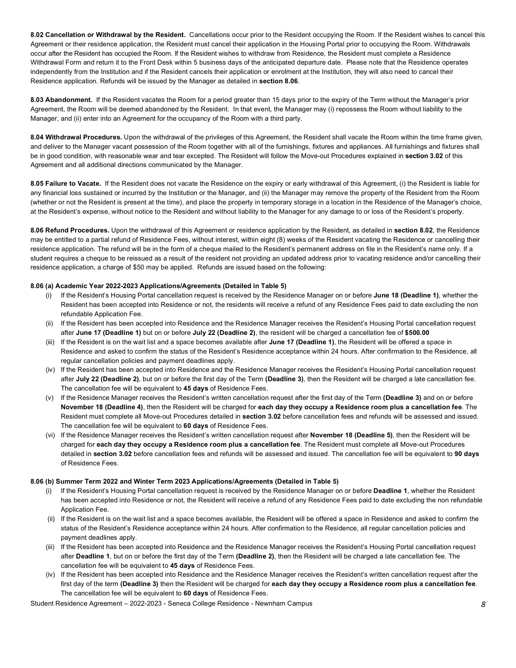**8.02 Cancellation or Withdrawal by the Resident.** Cancellations occur prior to the Resident occupying the Room. If the Resident wishes to cancel this Agreement or their residence application, the Resident must cancel their application in the Housing Portal prior to occupying the Room. Withdrawals occur after the Resident has occupied the Room. If the Resident wishes to withdraw from Residence, the Resident must complete a Residence Withdrawal Form and return it to the Front Desk within 5 business days of the anticipated departure date. Please note that the Residence operates independently from the Institution and if the Resident cancels their application or enrolment at the Institution, they will also need to cancel their Residence application. Refunds will be issued by the Manager as detailed in **section 8.06**.

 **8.03 Abandonment.** If the Resident vacates the Room for a period greater than 15 days prior to the expiry of the Term without the Manager's prior Agreement, the Room will be deemed abandoned by the Resident. In that event, the Manager may (i) repossess the Room without liability to the Manager, and (ii) enter into an Agreement for the occupancy of the Room with a third party.

 **8.04 Withdrawal Procedures.** Upon the withdrawal of the privileges of this Agreement, the Resident shall vacate the Room within the time frame given, and deliver to the Manager vacant possession of the Room together with all of the furnishings, fixtures and appliances. All furnishings and fixtures shall be in good condition, with reasonable wear and tear excepted. The Resident will follow the Move-out Procedures explained in **section 3.02** of this Agreement and all additional directions communicated by the Manager.

 **8.05 Failure to Vacate.** If the Resident does not vacate the Residence on the expiry or early withdrawal of this Agreement, (i) the Resident is liable for any financial loss sustained or incurred by the Institution or the Manager, and (ii) the Manager may remove the property of the Resident from the Room (whether or not the Resident is present at the time), and place the property in temporary storage in a location in the Residence of the Manager's choice, at the Resident's expense, without notice to the Resident and without liability to the Manager for any damage to or loss of the Resident's property.

 **8.06 Refund Procedures.** Upon the withdrawal of this Agreement or residence application by the Resident, as detailed in **section 8.02**, the Residence may be entitled to a partial refund of Residence Fees, without interest, within eight (8) weeks of the Resident vacating the Residence or cancelling their residence application. The refund will be in the form of a cheque mailed to the Resident's permanent address on file in the Resident's name only. If a student requires a cheque to be reissued as a result of the resident not providing an updated address prior to vacating residence and/or cancelling their residence application, a charge of \$50 may be applied. Refunds are issued based on the following:

#### **8.06 (a) Academic Year 2022-2023 Applications/Agreements (Detailed in Table 5)**

- Resident has been accepted into Residence or not, the residents will receive a refund of any Residence Fees paid to date excluding the non refundable Application Fee. (i) If the Resident's Housing Portal cancellation request is received by the Residence Manager on or before **June 18 (Deadline 1)**, whether the
- after **June 17 (Deadline 1)** but on or before **July 22 (Deadline 2)**, the resident will be charged a cancellation fee of **\$500.00**  (ii) If the Resident has been accepted into Residence and the Residence Manager receives the Resident's Housing Portal cancellation request
- (iii) If the Resident is on the wait list and a space becomes available after **June 17 (Deadline 1)**, the Resident will be offered a space in Residence and asked to confirm the status of the Resident's Residence acceptance within 24 hours. After confirmation to the Residence, all regular cancellation policies and payment deadlines apply.
- (iv) If the Resident has been accepted into Residence and the Residence Manager receives the Resident's Housing Portal cancellation request after **July 22 (Deadline 2)**, but on or before the first day of the Term **(Deadline 3)**, then the Resident will be charged a late cancellation fee. The cancellation fee will be equivalent to **45 days** of Residence Fees.
- (v) If the Residence Manager receives the Resident's written cancellation request after the first day of the Term **(Deadline 3)** and on or before  **November 18 (Deadline 4)**, then the Resident will be charged for **each day they occupy a Residence room plus a cancellation fee**. The Resident must complete all Move-out Procedures detailed in **section 3.02** before cancellation fees and refunds will be assessed and issued. The cancellation fee will be equivalent to **60 days** of Residence Fees.
- (vi) If the Residence Manager receives the Resident's written cancellation request after **November 18 (Deadline 5)**, then the Resident will be charged for **each day they occupy a Residence room plus a cancellation fee**. The Resident must complete all Move-out Procedures detailed in **section 3.02** before cancellation fees and refunds will be assessed and issued. The cancellation fee will be equivalent to **90 days**  of Residence Fees.

#### **8.06 (b) Summer Term 2022 and Winter Term 2023 Applications/Agreements (Detailed in Table 5)**

- (i) If the Resident's Housing Portal cancellation request is received by the Residence Manager on or before **Deadline 1**, whether the Resident has been accepted into Residence or not, the Resident will receive a refund of any Residence Fees paid to date excluding the non refundable
- Application Fee.<br>(ii) If the Resident is on the wait list and a space becomes available, the Resident will be offered a space in Residence and asked to confirm the status of the Resident's Residence acceptance within 24 hours. After confirmation to the Residence, all regular cancellation policies and payment deadlines apply.
- after **Deadline 1**, but on or before the first day of the Term **(Deadline 2)**, then the Resident will be charged a late cancellation fee. The cancellation fee will be equivalent to **45 days** of Residence Fees. (iii) If the Resident has been accepted into Residence and the Residence Manager receives the Resident's Housing Portal cancellation request
- (iv) If the Resident has been accepted into Residence and the Residence Manager receives the Resident's written cancellation request after the The cancellation fee will be equivalent to **60 days** of Residence Fees. first day of the term **(Deadline 3)** then the Resident will be charged for **each day they occupy a Residence room plus a cancellation fee**.